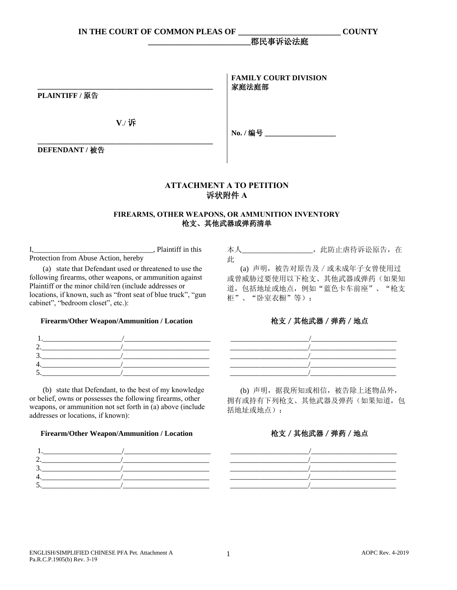**\_\_\_\_\_\_\_\_\_\_\_\_\_\_\_\_\_\_\_\_\_\_\_\_\_\_\_\_\_\_\_\_\_\_\_\_\_\_\_\_\_\_\_\_\_\_\_ PLAINTIFF /** 原告 **V**./ 诉 **FAMILY COURT DIVISION** 家庭法庭部 **No. /** 编号 **\_\_\_\_\_\_\_\_\_\_\_\_\_\_\_\_\_\_\_**

**DEFENDANT /** 被告

# **ATTACHMENT А TO PETITION** 诉状附件 **A**

### **FIREARMS, OTHER WEAPONS, OR AMMUNITION INVENTORY** 枪支、其他武器或弹药清单

I,\_\_\_\_\_\_\_\_\_\_\_\_\_\_\_\_\_\_\_\_\_\_\_\_\_\_\_\_\_\_\_\_, Plaintiff in this Protection from Abuse Action, hereby

**\_\_\_\_\_\_\_\_\_\_\_\_\_\_\_\_\_\_\_\_\_\_\_\_\_\_\_\_\_\_\_\_\_\_\_\_\_\_\_\_\_\_\_\_\_\_\_**

(a) state that Defendant used or threatened to use the following firearms, other weapons, or ammunition against Plaintiff or the minor child/ren (include addresses or locations, if known, such as "front seat of blue truck", "gun cabinet", "bedroom closet", etc.):

## **Firearm/Other Weapon/Ammunition / Location**

(b) state that Defendant, to the best of my knowledge or belief, owns or possesses the following firearms, other weapons, or ammunition not set forth in (a) above (include addresses or locations, if known):

#### **Firearm/Other Weapon/Ammunition / Location**



本人\_\_\_\_\_\_\_\_\_\_\_\_\_\_\_\_\_\_\_,此防止虐待诉讼原告,在 此

**\_\_\_\_\_\_\_\_\_\_\_\_\_\_\_\_\_\_\_\_\_\_\_\_\_**郡民事诉讼法庭

(a) 声明,被告对原告及/或未成年子女曾使用过 或曾威胁过要使用以下枪支、其他武器或弹药(如果知 道,包括地址或地点,例如"蓝色卡车前座"、"枪支 柜"、"卧室衣橱"等):

## 枪支/其他武器/弹药/地点

(b) 声明,据我所知或相信,被告除上述物品外, 拥有或持有下列枪支、其他武器及弹药(如果知道,包 括地址或地点):

## 枪支/其他武器/弹药/地点